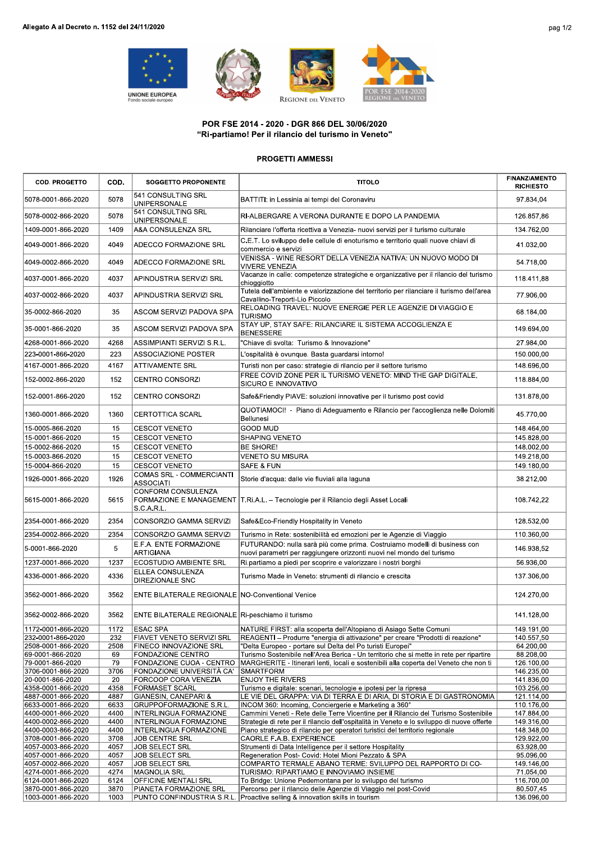





## POR FSE 2014 - 2020 - DGR 866 DEL 30/06/2020 "Ri-partiamo! Per il rilancio del turismo in Veneto"

## PROGETTI AMMESSI

| POR FSE 2014 - 2020 - DGR 866 DEL 30/06/2020<br>"Ri-partiamo! Per il rilancio del turismo in Veneto" |              |                                                              |                                                                                                                                                                                   |                                          |  |  |  |  |
|------------------------------------------------------------------------------------------------------|--------------|--------------------------------------------------------------|-----------------------------------------------------------------------------------------------------------------------------------------------------------------------------------|------------------------------------------|--|--|--|--|
| <b>PROGETTI AMMESSI</b>                                                                              |              |                                                              |                                                                                                                                                                                   |                                          |  |  |  |  |
| <b>COD. PROGETTO</b>                                                                                 | COD.         | <b>SOGGETTO PROPONENTE</b>                                   | <b>TITOLO</b>                                                                                                                                                                     | <b>FINANZIAMENTO</b><br><b>RICHIESTO</b> |  |  |  |  |
| 5078-0001-866-2020                                                                                   | 5078         | 541 CONSULTING SRL<br>UNIPERSONALE                           | BATTITI: in Lessinia ai tempi del Coronaviru                                                                                                                                      | 97.834,04                                |  |  |  |  |
| 5078-0002-866-2020                                                                                   | 5078         | 541 CONSULTING SRL<br>UNIPERSONALE                           | RI-ALBERGARE A VERONA DURANTE E DOPO LA PANDEMIA                                                                                                                                  | 126.857,86                               |  |  |  |  |
| 1409-0001-866-2020                                                                                   | 1409         | A&A CONSULENZA SRL                                           | Rilanciare l'offerta ricettiva a Venezia- nuovi servizi per il turismo culturale                                                                                                  | 134.762,00                               |  |  |  |  |
| 4049-0001-866-2020                                                                                   | 4049         | ADECCO FORMAZIONE SRL                                        | C.E.T. Lo sviluppo delle cellule di enoturismo e territorio quali nuove chiavi di<br>commercio e servizi                                                                          | 41.032,00                                |  |  |  |  |
| 4049-0002-866-2020                                                                                   | 4049         | ADECCO FORMAZIONE SRL                                        | VENISSA - WINE RESORT DELLA VENEZIA NATIVA: UN NUOVO MODO DI<br><b>VIVERE VENEZIA</b>                                                                                             | 54.718,00                                |  |  |  |  |
| 4037-0001-866-2020                                                                                   | 4037         | APINDUSTRIA SERVIZI SRL                                      | Vacanze in calle: competenze strategiche e organizzative per il rilancio del turismo<br>chioggiotto                                                                               | 118.411,88                               |  |  |  |  |
| 4037-0002-866-2020                                                                                   | 4037         | APINDUSTRIA SERVIZI SRL                                      | Tutela dell'ambiente e valorizzazione del territorio per rilanciare il turismo dell'area<br>Cavallino-Treporti-Lio Piccolo                                                        | 77.906,00                                |  |  |  |  |
| 35-0002-866-2020                                                                                     | 35           | ASCOM SERVIZI PADOVA SPA                                     | RELOADING TRAVEL: NUOVE ENERGIE PER LE AGENZIE DI VIAGGIO E<br><b>TURISMO</b>                                                                                                     | 68.184,00                                |  |  |  |  |
| 35-0001-866-2020                                                                                     | 35           | ASCOM SERVIZI PADOVA SPA                                     | STAY UP, STAY SAFE: RILANCIARE IL SISTEMA ACCOGLIENZA E<br><b>BENESSERE</b>                                                                                                       | 149.694,00                               |  |  |  |  |
| 4268-0001-866-2020                                                                                   | 4268         | ASSIMPIANTI SERVIZI S.R.L.                                   | 'Chiave di svolta: Turismo & Innovazione"                                                                                                                                         | 27.984,00                                |  |  |  |  |
| 223-0001-866-2020                                                                                    | 223          | ASSOCIAZIONE POSTER                                          | L'ospitalità è ovunque. Basta guardarsi intorno!                                                                                                                                  | 150.000,00                               |  |  |  |  |
| 4167-0001-866-2020                                                                                   | 4167         | <b>ATTIVAMENTE SRL</b>                                       | Turisti non per caso: strategie di rilancio per il settore turismo                                                                                                                | 148.696,00                               |  |  |  |  |
| 152-0002-866-2020                                                                                    | 152          | <b>CENTRO CONSORZI</b>                                       | FREE COVID ZONE PER IL TURISMO VENETO: MIND THE GAP DIGITALE.<br>SICURO E INNOVATIVO                                                                                              | 118.884,00                               |  |  |  |  |
| 152-0001-866-2020                                                                                    | 152          | CENTRO CONSORZI                                              | Safe&Friendly PIAVE: soluzioni innovative per il turismo post covid                                                                                                               | 131.878,00                               |  |  |  |  |
| 1360-0001-866-2020                                                                                   | 1360         | <b>CERTOTTICA SCARL</b>                                      | QUOTIAMOCI! - Piano di Adeguamento e Rilancio per l'accoglienza nelle Dolomiti<br>Bellunesi                                                                                       | 45.770,00                                |  |  |  |  |
| 15-0005-866-2020                                                                                     | 15           | <b>CESCOT VENETO</b>                                         | <b>GOOD MUD</b>                                                                                                                                                                   | 148.464,00                               |  |  |  |  |
| 15-0001-866-2020                                                                                     | 15           | <b>CESCOT VENETO</b>                                         | SHAPING VENETO                                                                                                                                                                    | 145.828,00                               |  |  |  |  |
| 15-0002-866-2020                                                                                     | 15           | <b>CESCOT VENETO</b>                                         | <b>BE SHORE!</b>                                                                                                                                                                  | 148.002,00                               |  |  |  |  |
| 15-0003-866-2020<br>15-0004-866-2020                                                                 | 15<br>15     | <b>CESCOT VENETO</b><br><b>CESCOT VENETO</b>                 | VENETO SU MISURA<br>SAFE & FUN                                                                                                                                                    | 149.218,00<br>149.180,00                 |  |  |  |  |
| 1926-0001-866-2020                                                                                   | 1926         | COMAS SRL - COMMERCIANTI<br><b>ASSOCIATI</b>                 | Storie d'acqua: dalle vie fluviali alla laguna                                                                                                                                    | 38.212,00                                |  |  |  |  |
| 5615-0001-866-2020                                                                                   | 5615         | CONFORM CONSULENZA<br>FORMAZIONE E MANAGEMENT<br>S.C.A.R.L.  | T.Ri.A.L. - Tecnologie per il Rilancio degli Asset Locali                                                                                                                         | 108.742,22                               |  |  |  |  |
| 2354-0001-866-2020                                                                                   | 2354         | CONSORZIO GAMMA SERVIZI                                      | Safe&Eco-Friendly Hospitality in Veneto                                                                                                                                           | 128.532,00                               |  |  |  |  |
| 2354-0002-866-2020                                                                                   | 2354         | CONSORZIO GAMMA SERVIZI                                      | Turismo in Rete: sostenibilità ed emozioni per le Agenzie di Viaggio                                                                                                              | 110.360,00                               |  |  |  |  |
| 5-0001-866-2020                                                                                      | 5            | E.F.A. ENTE FORMAZIONE<br>ARTIGIANA                          | FUTURANDO: nulla sarà più come prima. Costruiamo modelli di business con<br>nuovi parametri per raggiungere orizzonti nuovi nel mondo del turismo                                 | 146.938,52                               |  |  |  |  |
| 1237-0001-866-2020                                                                                   | 1237         | <b>ECOSTUDIO AMBIENTE SRL</b>                                | Ri.partiamo a piedi per scoprire e valorizzare i nostri borghi                                                                                                                    | 56.936,00                                |  |  |  |  |
| 4336-0001-866-2020                                                                                   | 4336         | ELLEA CONSULENZA<br><b>DIREZIONALE SNC</b>                   | Turismo Made in Veneto: strumenti di rilancio e crescita                                                                                                                          | 137.306,00                               |  |  |  |  |
| 3562-0001-866-2020                                                                                   | 3562         | ENTE BILATERALE REGIONALE NO-Conventional Venice             |                                                                                                                                                                                   | 124.270,00                               |  |  |  |  |
| 3562-0002-866-2020                                                                                   | 3562         | ENTE BILATERALE REGIONALE Ri-peschiamo il turismo            |                                                                                                                                                                                   | 141.128,00                               |  |  |  |  |
| 1172-0001-866-2020                                                                                   | 1172         | ESAC SPA                                                     | NATURE FIRST: alla scoperta dell'Altopiano di Asiago Sette Comuni                                                                                                                 | 149.191,00                               |  |  |  |  |
| 232-0001-866-2020                                                                                    | 232          | <b>FIAVET VENETO SERVIZI SRL</b>                             | REAGENTI - Produrre "energia di attivazione" per creare "Prodotti di reazione"                                                                                                    | 140.557,50                               |  |  |  |  |
| 2508-0001-866-2020                                                                                   | 2508         | <b>FINECO INNOVAZIONE SRL</b>                                | "Delta Europeo - portare sul Delta del Po turisti Europei"                                                                                                                        | 64.200,00                                |  |  |  |  |
| 69-0001-866-2020<br>79-0001-866-2020                                                                 | 69<br>79     | <b>FONDAZIONE CENTRO</b><br>FONDAZIONE CUOA - CENTRO         | Turismo Sostenibile nell'Area Berica - Un territorio che si mette in rete per ripartire<br>MARGHERITE - Itinerari lenti, locali e sostenibili alla coperta del Veneto che non ti  | 88.208,00<br>126.100,00                  |  |  |  |  |
| 3706-0001-866-2020                                                                                   | 3706         | FONDAZIONE UNIVERSITÀ CA'                                    | <b>SMARTFORM</b>                                                                                                                                                                  | 146.235,00                               |  |  |  |  |
| 20-0001-866-2020                                                                                     | 20           | FORCOOP CORA VENEZIA                                         | <b>ENJOY THE RIVERS</b>                                                                                                                                                           | 141.836,00                               |  |  |  |  |
| 4358-0001-866-2020                                                                                   | 4358         | <b>FORMASET SCARL</b>                                        | Turismo e digitale: scenari, tecnologie e ipotesi per la ripresa                                                                                                                  | 103.256,00                               |  |  |  |  |
| 4887-0001-866-2020                                                                                   | 4887         | GIANESIN, CANEPARI &                                         | LE VIE DEL GRAPPA: VIA DI TERRA E DI ARIA, DI STORIA E DI GASTRONOMIA                                                                                                             | 121.114,00                               |  |  |  |  |
| 6633-0001-866-2020                                                                                   | 6633         | <b>GRUPPOFORMAZIONE S.R.L.</b>                               | INCOM 360: Incoming, Conciergerie e Marketing a 360°                                                                                                                              | 110.176,00<br>147.884,00                 |  |  |  |  |
| 4400-0001-866-2020<br>4400-0002-866-2020                                                             | 4400<br>4400 | INTERLINGUA FORMAZIONE<br><b>INTERLINGUA FORMAZIONE</b>      | Cammini Veneti - Rete delle Terre Vicentine per il Rilancio del Turismo Sostenibile<br>Strategie di rete per il rilancio dell'ospitalità in Veneto e lo sviluppo di nuove offerte | 149.316,00                               |  |  |  |  |
| 4400-0003-866-2020                                                                                   | 4400         | INTERLINGUA FORMAZIONE                                       | Piano strategico di rilancio per operatori turistici del territorio regionale                                                                                                     | 148.348,00                               |  |  |  |  |
| 3708-0001-866-2020                                                                                   | 3708         | <b>JOB CENTRE SRL</b>                                        | CAORLE F.A.B. EXPERIENCE                                                                                                                                                          | 129.922,00                               |  |  |  |  |
| 4057-0003-866-2020                                                                                   | 4057         | <b>JOB SELECT SRL</b>                                        | Strumenti di Data Intelligence per il settore Hospitality                                                                                                                         | 63.928,00                                |  |  |  |  |
| 4057-0001-866-2020                                                                                   | 4057         | JOB SELECT SRL                                               | Regeneration Post- Covid: Hotel Mioni Pezzato & SPA                                                                                                                               | 95.096,00                                |  |  |  |  |
| 4057-0002-866-2020                                                                                   | 4057         | <b>JOB SELECT SRL</b>                                        | COMPARTO TERMALE ABANO TERME: SVILUPPO DEL RAPPORTO DI CO-                                                                                                                        | 149.146,00                               |  |  |  |  |
| 4274-0001-866-2020                                                                                   | 4274         | MAGNOLIA SRL                                                 | TURISMO: RIPARTIAMO E INNOVIAMO INSIEME                                                                                                                                           | 71.054,00                                |  |  |  |  |
| 6124-0001-866-2020<br>3870-0001-866-2020                                                             | 6124<br>3870 | <b>OFFICINE MENTALI SRL</b><br><b>PIANETA FORMAZIONE SRL</b> | To Bridge: Unione Pedemontana per lo sviluppo del turismo<br>Percorso per il rilancio delle Agenzie di Viaggio nel post-Covid                                                     | 116.700,00<br>80.507,45                  |  |  |  |  |
| 1003-0001-866-2020                                                                                   | 1003         | PUNTO CONFINDUSTRIA S.R.L                                    | Proactive selling & innovation skills in tourism                                                                                                                                  | 136.096,00                               |  |  |  |  |
|                                                                                                      |              |                                                              |                                                                                                                                                                                   |                                          |  |  |  |  |